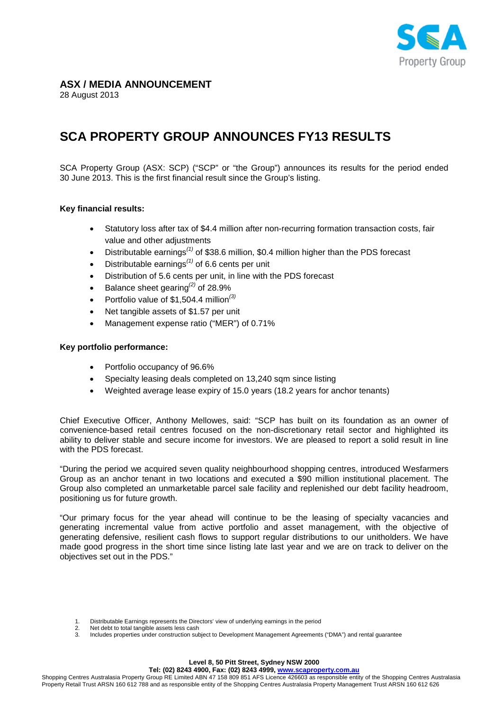

# **ASX / MEDIA ANNOUNCEMENT**

28 August 2013

# **SCA PROPERTY GROUP ANNOUNCES FY13 RESULTS**

SCA Property Group (ASX: SCP) ("SCP" or "the Group") announces its results for the period ended 30 June 2013. This is the first financial result since the Group's listing.

# **Key financial results:**

- Statutory loss after tax of \$4.4 million after non-recurring formation transaction costs, fair value and other adjustments
- Distributable earnings*(1)* of \$38.6 million, \$0.4 million higher than the PDS forecast
- Distributable earnings*(1)* of 6.6 cents per unit
- Distribution of 5.6 cents per unit, in line with the PDS forecast
- Balance sheet gearing*(2)* of 28.9%
- Portfolio value of \$1,504.4 million*(3)*
- Net tangible assets of \$1.57 per unit
- Management expense ratio ("MER") of 0.71%

#### **Key portfolio performance:**

- Portfolio occupancy of 96.6%
- Specialty leasing deals completed on 13,240 sqm since listing
- Weighted average lease expiry of 15.0 years (18.2 years for anchor tenants)

Chief Executive Officer, Anthony Mellowes, said: "SCP has built on its foundation as an owner of convenience-based retail centres focused on the non-discretionary retail sector and highlighted its ability to deliver stable and secure income for investors. We are pleased to report a solid result in line with the PDS forecast.

"During the period we acquired seven quality neighbourhood shopping centres, introduced Wesfarmers Group as an anchor tenant in two locations and executed a \$90 million institutional placement. The Group also completed an unmarketable parcel sale facility and replenished our debt facility headroom, positioning us for future growth.

"Our primary focus for the year ahead will continue to be the leasing of specialty vacancies and generating incremental value from active portfolio and asset management, with the objective of generating defensive, resilient cash flows to support regular distributions to our unitholders. We have made good progress in the short time since listing late last year and we are on track to deliver on the objectives set out in the PDS."

2. Net debt to total tangible assets less cash<br>3. Includes properties under construction sul

<sup>1.</sup> Distributable Earnings represents the Directors' view of underlying earnings in the period

<sup>3.</sup> Includes properties under construction subject to Development Management Agreements ("DMA") and rental guarantee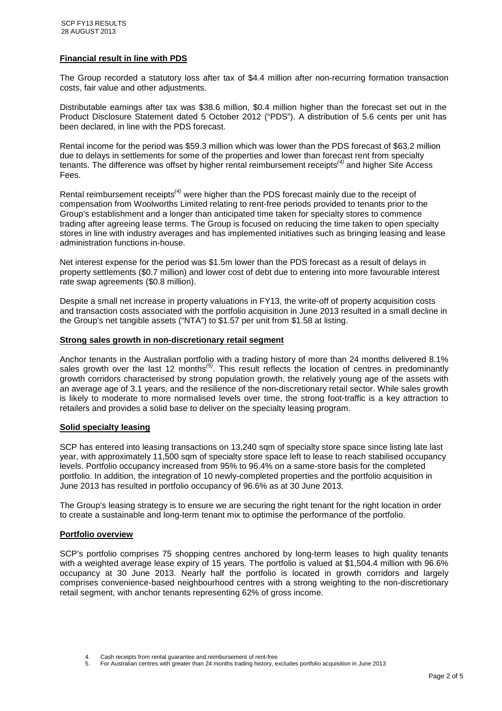# **Financial result in line with PDS**

The Group recorded a statutory loss after tax of \$4.4 million after non-recurring formation transaction costs, fair value and other adjustments.

Distributable earnings after tax was \$38.6 million, \$0.4 million higher than the forecast set out in the Product Disclosure Statement dated 5 October 2012 ("PDS"). A distribution of 5.6 cents per unit has been declared, in line with the PDS forecast.

Rental income for the period was \$59.3 million which was lower than the PDS forecast of \$63.2 million due to delays in settlements for some of the properties and lower than forecast rent from specialty tenants. The difference was offset by higher rental reimbursement receipts*(4)* and higher Site Access Fees.

Rental reimbursement receipts*(4)* were higher than the PDS forecast mainly due to the receipt of compensation from Woolworths Limited relating to rent-free periods provided to tenants prior to the Group's establishment and a longer than anticipated time taken for specialty stores to commence trading after agreeing lease terms. The Group is focused on reducing the time taken to open specialty stores in line with industry averages and has implemented initiatives such as bringing leasing and lease administration functions in-house.

Net interest expense for the period was \$1.5m lower than the PDS forecast as a result of delays in property settlements (\$0.7 million) and lower cost of debt due to entering into more favourable interest rate swap agreements (\$0.8 million).

Despite a small net increase in property valuations in FY13, the write-off of property acquisition costs and transaction costs associated with the portfolio acquisition in June 2013 resulted in a small decline in the Group's net tangible assets ("NTA") to \$1.57 per unit from \$1.58 at listing.

#### **Strong sales growth in non-discretionary retail segment**

Anchor tenants in the Australian portfolio with a trading history of more than 24 months delivered 8.1% sales growth over the last 12 months<sup>(5)</sup>. This result reflects the location of centres in predominantly growth corridors characterised by strong population growth, the relatively young age of the assets with an average age of 3.1 years, and the resilience of the non-discretionary retail sector. While sales growth is likely to moderate to more normalised levels over time, the strong foot-traffic is a key attraction to retailers and provides a solid base to deliver on the specialty leasing program.

#### **Solid specialty leasing**

SCP has entered into leasing transactions on 13,240 sqm of specialty store space since listing late last year, with approximately 11,500 sqm of specialty store space left to lease to reach stabilised occupancy levels. Portfolio occupancy increased from 95% to 96.4% on a same-store basis for the completed portfolio. In addition, the integration of 10 newly-completed properties and the portfolio acquisition in June 2013 has resulted in portfolio occupancy of 96.6% as at 30 June 2013.

The Group's leasing strategy is to ensure we are securing the right tenant for the right location in order to create a sustainable and long-term tenant mix to optimise the performance of the portfolio.

#### **Portfolio overview**

SCP's portfolio comprises 75 shopping centres anchored by long-term leases to high quality tenants with a weighted average lease expiry of 15 years. The portfolio is valued at \$1,504.4 million with 96.6% occupancy at 30 June 2013. Nearly half the portfolio is located in growth corridors and largely comprises convenience-based neighbourhood centres with a strong weighting to the non-discretionary retail segment, with anchor tenants representing 62% of gross income.

Cash receipts from rental guarantee and reimbursement of rent-free

<sup>5.</sup> For Australian centres with greater than 24 months trading history, excludes portfolio acquisition in June 2013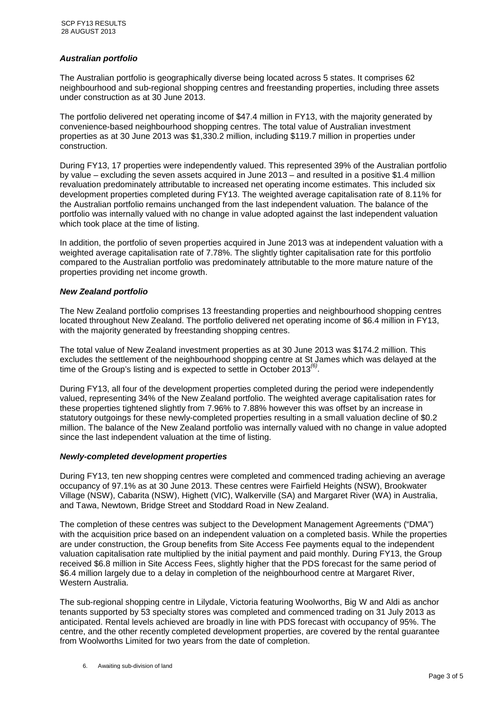# *Australian portfolio*

The Australian portfolio is geographically diverse being located across 5 states. It comprises 62 neighbourhood and sub-regional shopping centres and freestanding properties, including three assets under construction as at 30 June 2013.

The portfolio delivered net operating income of \$47.4 million in FY13, with the majority generated by convenience-based neighbourhood shopping centres. The total value of Australian investment properties as at 30 June 2013 was \$1,330.2 million, including \$119.7 million in properties under construction.

During FY13, 17 properties were independently valued. This represented 39% of the Australian portfolio by value – excluding the seven assets acquired in June 2013 – and resulted in a positive \$1.4 million revaluation predominately attributable to increased net operating income estimates. This included six development properties completed during FY13. The weighted average capitalisation rate of 8.11% for the Australian portfolio remains unchanged from the last independent valuation. The balance of the portfolio was internally valued with no change in value adopted against the last independent valuation which took place at the time of listing.

In addition, the portfolio of seven properties acquired in June 2013 was at independent valuation with a weighted average capitalisation rate of 7.78%. The slightly tighter capitalisation rate for this portfolio compared to the Australian portfolio was predominately attributable to the more mature nature of the properties providing net income growth.

# *New Zealand portfolio*

The New Zealand portfolio comprises 13 freestanding properties and neighbourhood shopping centres located throughout New Zealand. The portfolio delivered net operating income of \$6.4 million in FY13, with the majority generated by freestanding shopping centres.

The total value of New Zealand investment properties as at 30 June 2013 was \$174.2 million. This excludes the settlement of the neighbourhood shopping centre at St James which was delayed at the time of the Group's listing and is expected to settle in October 2013*(6)* .

During FY13, all four of the development properties completed during the period were independently valued, representing 34% of the New Zealand portfolio. The weighted average capitalisation rates for these properties tightened slightly from 7.96% to 7.88% however this was offset by an increase in statutory outgoings for these newly-completed properties resulting in a small valuation decline of \$0.2 million. The balance of the New Zealand portfolio was internally valued with no change in value adopted since the last independent valuation at the time of listing.

#### *Newly-completed development properties*

During FY13, ten new shopping centres were completed and commenced trading achieving an average occupancy of 97.1% as at 30 June 2013. These centres were Fairfield Heights (NSW), Brookwater Village (NSW), Cabarita (NSW), Highett (VIC), Walkerville (SA) and Margaret River (WA) in Australia, and Tawa, Newtown, Bridge Street and Stoddard Road in New Zealand.

The completion of these centres was subject to the Development Management Agreements ("DMA") with the acquisition price based on an independent valuation on a completed basis. While the properties are under construction, the Group benefits from Site Access Fee payments equal to the independent valuation capitalisation rate multiplied by the initial payment and paid monthly. During FY13, the Group received \$6.8 million in Site Access Fees, slightly higher that the PDS forecast for the same period of \$6.4 million largely due to a delay in completion of the neighbourhood centre at Margaret River, Western Australia.

The sub-regional shopping centre in Lilydale, Victoria featuring Woolworths, Big W and Aldi as anchor tenants supported by 53 specialty stores was completed and commenced trading on 31 July 2013 as anticipated. Rental levels achieved are broadly in line with PDS forecast with occupancy of 95%. The centre, and the other recently completed development properties, are covered by the rental guarantee from Woolworths Limited for two years from the date of completion.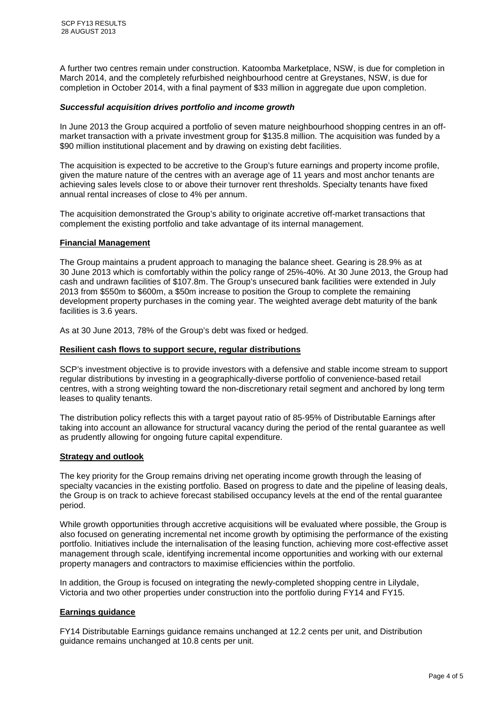A further two centres remain under construction. Katoomba Marketplace, NSW, is due for completion in March 2014, and the completely refurbished neighbourhood centre at Greystanes, NSW, is due for completion in October 2014, with a final payment of \$33 million in aggregate due upon completion.

# *Successful acquisition drives portfolio and income growth*

In June 2013 the Group acquired a portfolio of seven mature neighbourhood shopping centres in an offmarket transaction with a private investment group for \$135.8 million. The acquisition was funded by a \$90 million institutional placement and by drawing on existing debt facilities.

The acquisition is expected to be accretive to the Group's future earnings and property income profile, given the mature nature of the centres with an average age of 11 years and most anchor tenants are achieving sales levels close to or above their turnover rent thresholds. Specialty tenants have fixed annual rental increases of close to 4% per annum.

The acquisition demonstrated the Group's ability to originate accretive off-market transactions that complement the existing portfolio and take advantage of its internal management.

# **Financial Management**

The Group maintains a prudent approach to managing the balance sheet. Gearing is 28.9% as at 30 June 2013 which is comfortably within the policy range of 25%-40%. At 30 June 2013, the Group had cash and undrawn facilities of \$107.8m. The Group's unsecured bank facilities were extended in July 2013 from \$550m to \$600m, a \$50m increase to position the Group to complete the remaining development property purchases in the coming year. The weighted average debt maturity of the bank facilities is 3.6 years.

As at 30 June 2013, 78% of the Group's debt was fixed or hedged.

# **Resilient cash flows to support secure, regular distributions**

SCP's investment objective is to provide investors with a defensive and stable income stream to support regular distributions by investing in a geographically-diverse portfolio of convenience-based retail centres, with a strong weighting toward the non-discretionary retail segment and anchored by long term leases to quality tenants.

The distribution policy reflects this with a target payout ratio of 85-95% of Distributable Earnings after taking into account an allowance for structural vacancy during the period of the rental guarantee as well as prudently allowing for ongoing future capital expenditure.

#### **Strategy and outlook**

The key priority for the Group remains driving net operating income growth through the leasing of specialty vacancies in the existing portfolio. Based on progress to date and the pipeline of leasing deals, the Group is on track to achieve forecast stabilised occupancy levels at the end of the rental guarantee period.

While growth opportunities through accretive acquisitions will be evaluated where possible, the Group is also focused on generating incremental net income growth by optimising the performance of the existing portfolio. Initiatives include the internalisation of the leasing function, achieving more cost-effective asset management through scale, identifying incremental income opportunities and working with our external property managers and contractors to maximise efficiencies within the portfolio.

In addition, the Group is focused on integrating the newly-completed shopping centre in Lilydale, Victoria and two other properties under construction into the portfolio during FY14 and FY15.

# **Earnings guidance**

FY14 Distributable Earnings guidance remains unchanged at 12.2 cents per unit, and Distribution guidance remains unchanged at 10.8 cents per unit.